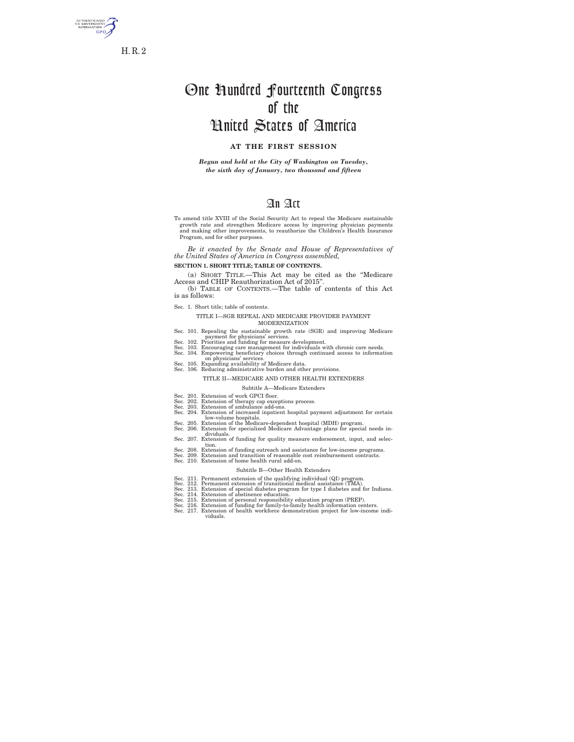

# One Hundred Fourteenth Congress of the United States of America

# **AT THE FIRST SESSION**

*Begun and held at the City of Washington on Tuesday, the sixth day of January, two thousand and fifteen* 

# An Act

To amend title XVIII of the Social Security Act to repeal the Medicare sustainable growth rate and strengthen Medicare access by improving physician payments and making other improvements, to reauthorize the Children's Health Insurance Program, and for other purposes.

*Be it enacted by the Senate and House of Representatives of the United States of America in Congress assembled,* 

**SECTION 1. SHORT TITLE; TABLE OF CONTENTS.** 

(a) SHORT TITLE.—This Act may be cited as the ''Medicare Access and CHIP Reauthorization Act of 2015''. (b) TABLE OF CONTENTS.—The table of contents of this Act

is as follows:

Sec. 1. Short title; table of contents.

#### TITLE I—SGR REPEAL AND MEDICARE PROVIDER PAYMENT MODERNIZATION

- 
- 
- Sec. 101. Repealing the sustainable growth rate (SGR) and improving Medicare<br>Sec. 102. Priorities and funding for measure development.<br>Sec. 103. Encouraging care management for individuals with chronic care needs.<br>Sec. 104
- 
- 

#### TITLE II—MEDICARE AND OTHER HEALTH EXTENDERS

#### Subtitle A—Medicare Extenders

- 
- 
- Sec. 201. Extension of work GPCI floor.<br>Sec. 202. Extension of therapy cap exceptions process.<br>Sec. 202. Extension of ambulance add-ons.<br>Sec. 204. Extension of increased inpatient hospital payment adjustment for certain<br>Se
- - dividuals.<br>Sec. 207. Extension of funding for quality measure endorsement, input, and selec-<br>Sec. 208. Extension of funding outreach and assistance for low-income programs.<br>Sec. 209. Extension and transition of reasonable
	-
- Sec. 210. Extension of home health rural add-on.

#### Subtitle B—Other Health Extenders

- 
- 
- -
	-
- Sec. 211. Permanent extension of the qualifying individual (QI) program.<br>Sec. 212. Permanent extension of transitional medical assistance (TMA).<br>Sec. 213. Extension of special diabetes program for type I diabetes and for I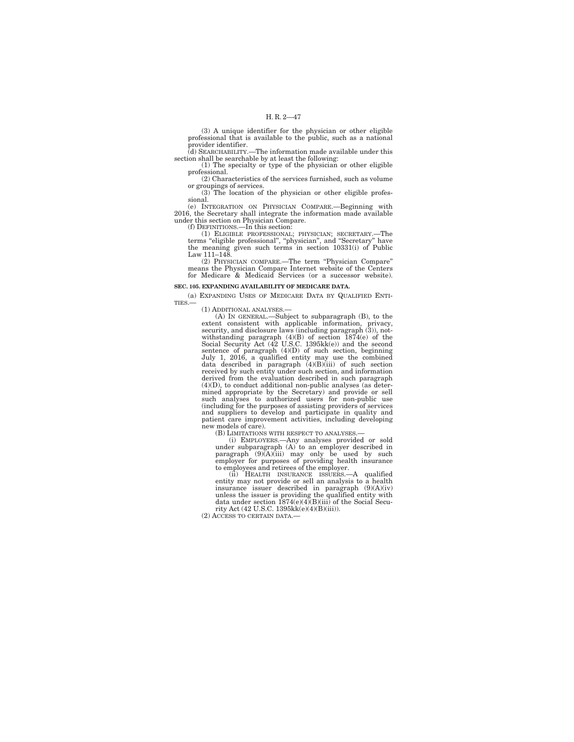(3) A unique identifier for the physician or other eligible professional that is available to the public, such as a national provider identifier. (d) SEARCHABILITY.—The information made available under this

section shall be searchable by at least the following:

(1) The specialty or type of the physician or other eligible professional.

(2) Characteristics of the services furnished, such as volume or groupings of services.

(3) The location of the physician or other eligible professional.

(e) INTEGRATION ON PHYSICIAN COMPARE.—Beginning with 2016, the Secretary shall integrate the information made available under this section on Physician Compare.

(f) DEFINITIONS.—In this section:<br>
(1) ELIGIBLE PROFESSIONAL; PHYSICIAN; SECRETARY.—The<br>
terms "eligible professional", "physician", and "Secretary" have<br>
the meaning given such terms in section 10331(i) of Public Law 111–148.

(2) PHYSICIAN COMPARE.—The term ''Physician Compare'' means the Physician Compare Internet website of the Centers for Medicare & Medicaid Services (or a successor website).

#### **SEC. 105. EXPANDING AVAILABILITY OF MEDICARE DATA.**

(a) EXPANDING USES OF MEDICARE DATA BY QUALIFIED ENTITIES  $-$ 

(1) ADDITIONAL ANALYSES.—

(A) IN GENERAL.—Subject to subparagraph (B), to the extent consistent with applicable information, privacy, security, and disclosure laws (including paragraph (3)), notwithstanding paragraph  $(4)(B)$  of section 1874(e) of the Social Security Act (42 U.S.C. 1395kk(e)) and the second sentence of paragraph  $(4)(D)$  of such section, beginning July 1, 2016, a qualified entity may use the combi derived from the evaluation described in such paragraph (4)(D), to conduct additional non-public analyses (as determined appropriate by the Secretary) and provide or sell such analyses to authorized users for non-public use (including for the purposes of assisting providers of services and suppliers to develop and participate in quality and patient care improvement activities, including developing new models of care).

(B) LIMITATIONS WITH RESPECT TO ANALYSES.—

(i) EMPLOYERS.—Any analyses provided or sold under subparagraph (A) to an employer described in paragraph (9)(A)(iii) may only be used by such employer for purposes of providing health insurance to employees and retirees of the employer.

(ii) HEALTH INSURANCE ISSUERS.—A qualified<br>entity may not provide or sell an analysis to a health<br>insurance issuer described in paragraph  $(9)(A)(iv)$ <br>unless the issuer is providing the qualified entity with<br>data under secti

(2) ACCESS TO CERTAIN DATA.—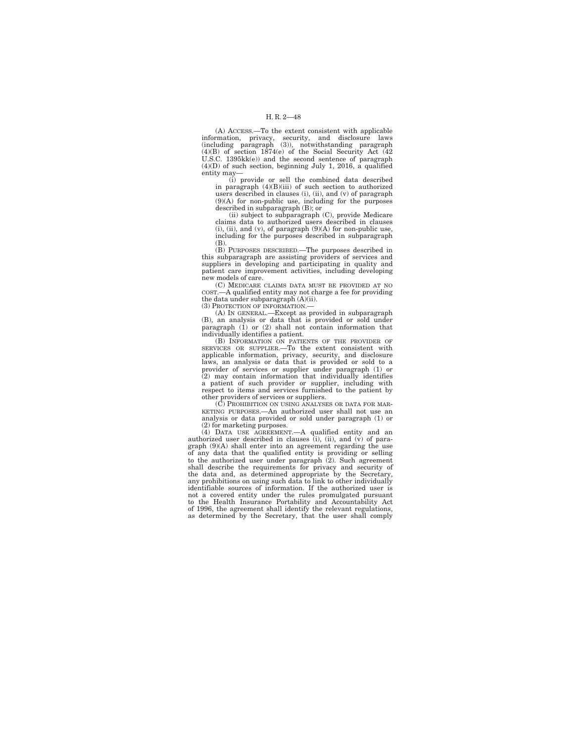# H. R. 2—48

(A) ACCESS.—To the extent consistent with applicable information, privacy, security, and disclosure laws (including paragraph (3)), notwithstanding paragraph (4)(B) of section 1874(e) of the Social Security Act (42 U.S.C. 1395kk(e)) and the second sentence of paragraph (4)(D) of such section, beginning July 1, 2016, a qualified entity may—

(i) provide or sell the combined data described in paragraph (4)(B)(iii) of such section to authorized users described in clauses (i), (ii), and  $(v)$  of paragraph  $(9)(A)$  for non-public use, including for the purposes described in subparagraph (B); or

(ii) subject to subparagraph  $(C)$ , provide Medicare claims data to authorized users described in clauses  $(i)$ ,  $(ii)$ , and  $(v)$ , of paragraph  $(9)(A)$  for non-public use, including for the purposes described in subparagraph (B).

(B) PURPOSES DESCRIBED.—The purposes described in this subparagraph are assisting providers of services and suppliers in developing and participating in quality and patient care improvement activities, including developing new models of care.

(C) MEDICARE CLAIMS DATA MUST BE PROVIDED AT NO COST.—A qualified entity may not charge a fee for providing the data under subparagraph (A)(ii). (3) PROTECTION OF INFORMATION.—

(A) IN GENERAL.—Except as provided in subparagraph (B), an analysis or data that is provided or sold under paragraph (1) or (2) shall not contain information that individually identifies a patient.

(B) INFORMATION ON PATIENTS OF THE PROVIDER OF SERVICES OR SUPPLIER.—To the extent consistent with applicable information, privacy, security, and disclosure laws, an analysis or data that is provided or sold to a provider of services or supplier under paragraph (1) or (2) may contain information that individually identifies a patient of such provider or supplier, including with respect to items and services furnished to the patient by

other providers of services or suppliers. (C) PROHIBITION ON USING ANALYSES OR DATA FOR MAR-KETING PURPOSES.—An authorized user shall not use an analysis or data provided or sold under paragraph (1) or (2) for marketing purposes.

(4) DATA USE AGREEMENT.—A qualified entity and an authorized user described in clauses (i), (ii), and (v) of para-<br>graph (9)(A) shall enter into an agreement regarding the use<br>of any data that the qualified entity is providing or selling<br>to the authorized user under para shall describe the requirements for privacy and security of the data and, as determined appropriate by the Secretary, any prohibitions on using such data to link to other individually identifiable sources of information. If the authorized user is not a covered entity under the rules promulgated pursuant to the Health Insurance Portability and Accountability Act of 1996, the agreement shall identify the relevant regulations, as determined by the Secretary, that the user shall comply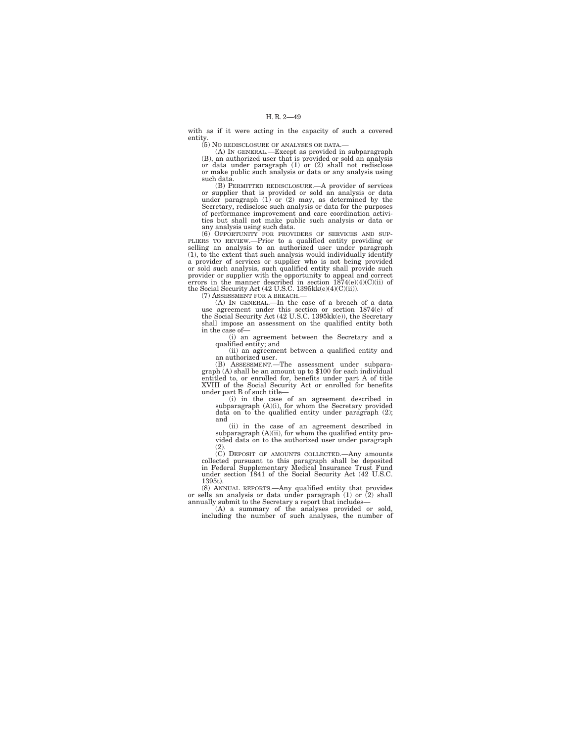with as if it were acting in the capacity of such a covered entity. (5) NO REDISCLOSURE OF ANALYSES OR DATA.—

(A) IN GENERAL.—Except as provided in subparagraph (B), an authorized user that is provided or sold an analysis or data under paragraph (1) or (2) shall not redisclose or make public such analysis or data or any analysis using such data.

(B) PERMITTED REDISCLOSURE.—A provider of services or supplier that is provided or sold an analysis or data under paragraph (1) or (2) may, as determined by the Secretary, redisclose such analysis or data for the purposes of performance improvement and care coordination activities but shall not make public such analysis or data or any analysis using such data.

(6) OPPORTUNITY FOR PROVIDERS OF SERVICES AND SUP-<br>PLIERS TO REVIEW.—Prior to a qualified entity providing or<br>selling an analysis to an authorized user under paragraph<br>(1), to the extent that such analysis would individual a provider of services or supplier who is not being provided<br>or sold such analysis, such qualified entity shall provide such<br>provider or supplier with the opportunity to appeal and correct<br>errors in the manner described i

(7) ASSESSMENT FOR A BREACH.—

(A) IN GENERAL.—In the case of a breach of a data use agreement under this section or section 1874(e) of the Social Security Act (42 U.S.C. 1395kk(e)), the Secretary shall impose an assessment on the qualified entity both in the case of—

(i) an agreement between the Secretary and a qualified entity; and

(ii) an agreement between a qualified entity and

an authorized user. (B) ASSESSMENT.—The assessment under subparagraph (A) shall be an amount up to \$100 for each individual entitled to, or enrolled for, benefits under part A of title XVIII of the Social Security Act or enrolled for benefits under part B of such title—

(i) in the case of an agreement described in subparagraph (A)(i), for whom the Secretary provided data on to the qualified entity under paragraph (2); and

(ii) in the case of an agreement described in subparagraph  $(A)(ii)$ , for whom the qualified entity provided data on to the authorized user under paragraph  $(2).$ 

(C) DEPOSIT OF AMOUNTS COLLECTED.—Any amounts collected pursuant to this paragraph shall be deposited in Federal Supplementary Medical Insurance Trust Fund under section 1841 of the Social Security Act (42 U.S.C. 1395t).

(8) ANNUAL REPORTS.—Any qualified entity that provides or sells an analysis or data under paragraph (1) or (2) shall annually submit to the Secretary a report that includes— (A) a summary of the analyses provided or sold,

including the number of such analyses, the number of